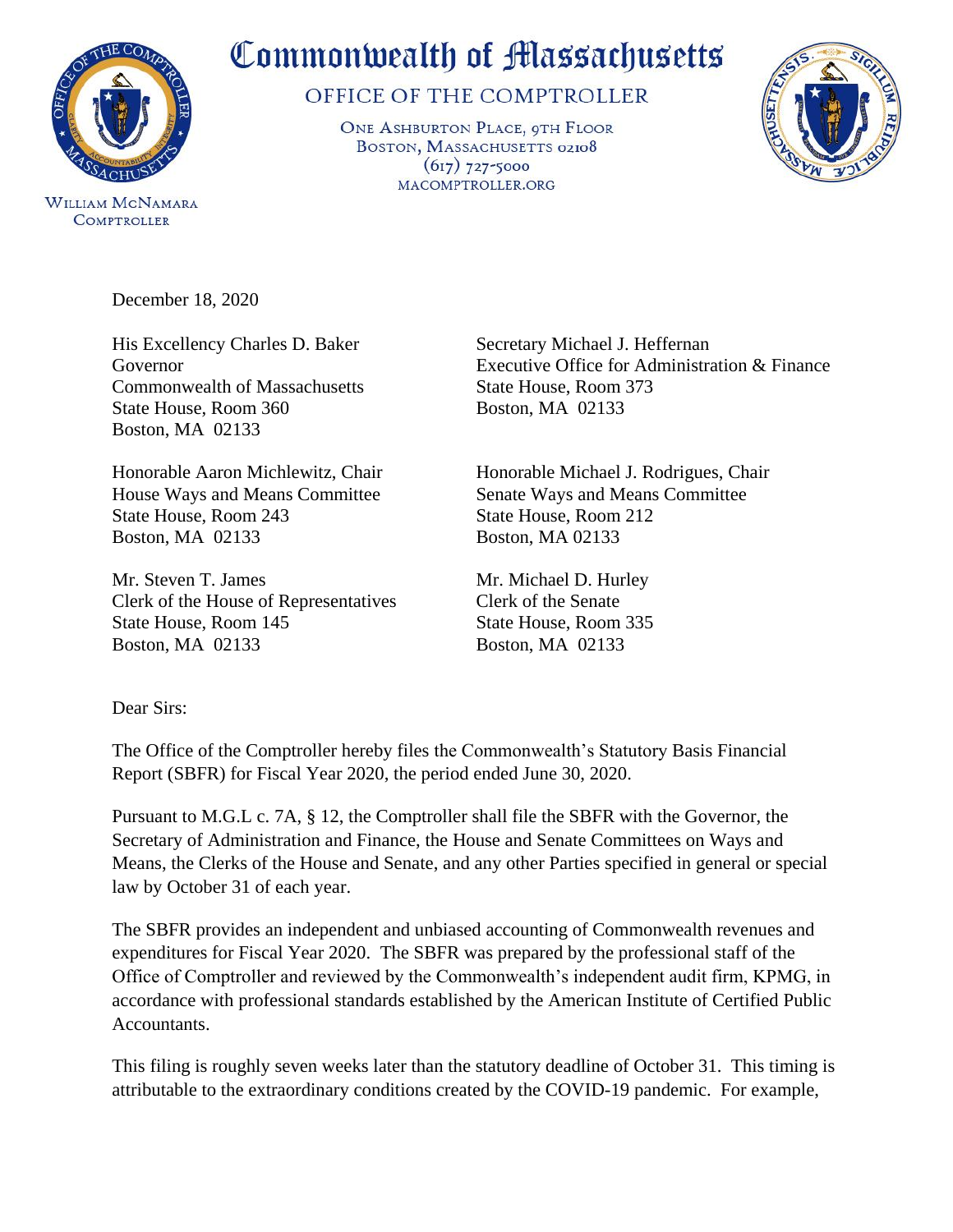

**WILLIAM MCNAMARA COMPTROLLER** 

Commonwealth of Massachusetts

OFFICE OF THE COMPTROLLER

ONE ASHBURTON PLACE, 9TH FLOOR BOSTON, MASSACHUSETTS 02108  $(617)$  727-5000 MACOMPTROLLER.ORG



December 18, 2020

His Excellency Charles D. Baker Secretary Michael J. Heffernan Commonwealth of Massachusetts State House, Room 373 State House, Room 360 Boston, MA 02133 Boston, MA 02133

State House, Room 243 State House, Room 212 Boston, MA 02133 Boston, MA 02133

Mr. Steven T. James Mr. Michael D. Hurley Clerk of the House of Representatives Clerk of the Senate State House, Room 145 State House, Room 335 Boston, MA 02133 Boston, MA 02133

Governor Executive Office for Administration & Finance

Honorable Aaron Michlewitz, Chair Honorable Michael J. Rodrigues, Chair House Ways and Means Committee Senate Ways and Means Committee

## Dear Sirs:

The Office of the Comptroller hereby files the Commonwealth's Statutory Basis Financial Report (SBFR) for Fiscal Year 2020, the period ended June 30, 2020.

Pursuant to M.G.L c. 7A, § 12, the Comptroller shall file the SBFR with the Governor, the Secretary of Administration and Finance, the House and Senate Committees on Ways and Means, the Clerks of the House and Senate, and any other Parties specified in general or special law by October 31 of each year.

The SBFR provides an independent and unbiased accounting of Commonwealth revenues and expenditures for Fiscal Year 2020. The SBFR was prepared by the professional staff of the Office of Comptroller and reviewed by the Commonwealth's independent audit firm, KPMG, in accordance with professional standards established by the American Institute of Certified Public Accountants.

This filing is roughly seven weeks later than the statutory deadline of October 31. This timing is attributable to the extraordinary conditions created by the COVID-19 pandemic. For example,